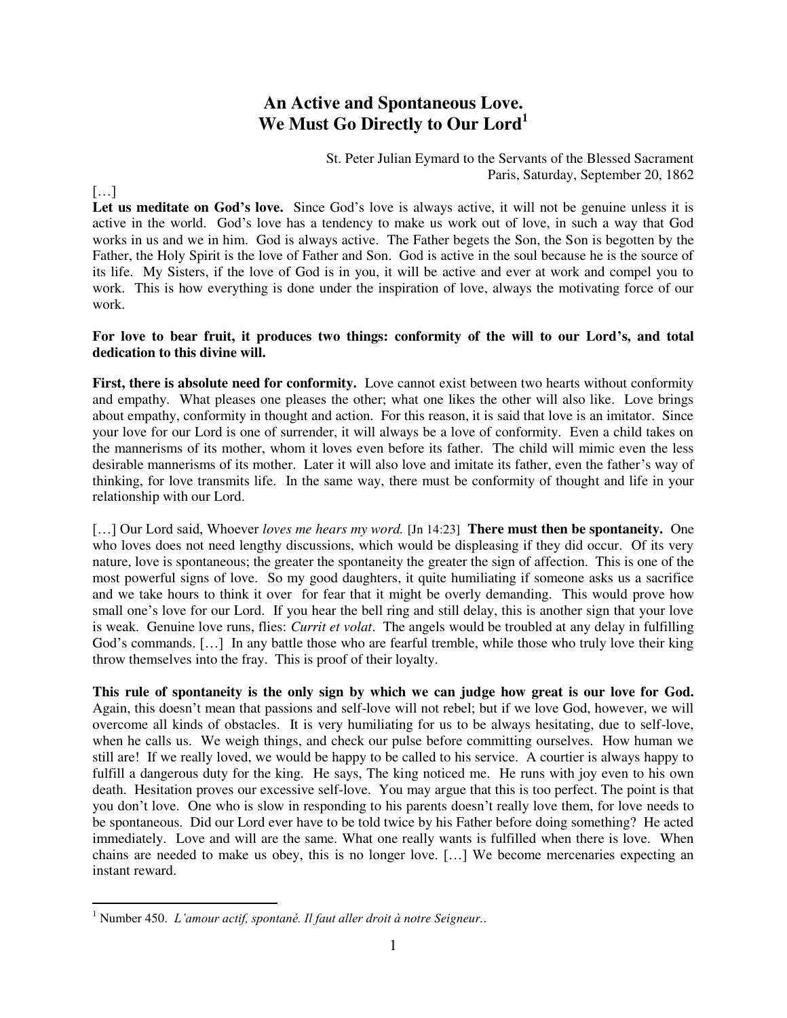## **An Active and Spontaneous Love. We Must Go Directly to Our Lord<sup>1</sup>**

St. Peter Julian Eymard to the Servants of the Blessed Sacrament Paris, Saturday, September 20, 1862

[…]

 $\overline{a}$ 

Let us meditate on God's love. Since God's love is always active, it will not be genuine unless it is active in the world. God's love has a tendency to make us work out of love, in such a way that God works in us and we in him. God is always active. The Father begets the Son, the Son is begotten by the Father, the Holy Spirit is the love of Father and Son. God is active in the soul because he is the source of its life. My Sisters, if the love of God is in you, it will be active and ever at work and compel you to work. This is how everything is done under the inspiration of love, always the motivating force of our work.

## **For love to bear fruit, it produces two things: conformity of the will to our Lord's, and total dedication to this divine will.**

**First, there is absolute need for conformity.** Love cannot exist between two hearts without conformity and empathy. What pleases one pleases the other; what one likes the other will also like. Love brings about empathy, conformity in thought and action. For this reason, it is said that love is an imitator. Since your love for our Lord is one of surrender, it will always be a love of conformity. Even a child takes on the mannerisms of its mother, whom it loves even before its father. The child will mimic even the less desirable mannerisms of its mother. Later it will also love and imitate its father, even the father's way of thinking, for love transmits life. In the same way, there must be conformity of thought and life in your relationship with our Lord.

[...] Our Lord said, Whoever *loves me hears my word*. [Jn 14:23] **There must then be spontaneity.** One who loves does not need lengthy discussions, which would be displeasing if they did occur. Of its very nature, love is spontaneous; the greater the spontaneity the greater the sign of affection. This is one of the most powerful signs of love. So my good daughters, it quite humiliating if someone asks us a sacrifice and we take hours to think it over for fear that it might be overly demanding. This would prove how small one's love for our Lord. If you hear the bell ring and still delay, this is another sign that your love is weak. Genuine love runs, flies: *Currit et volat*. The angels would be troubled at any delay in fulfilling God's commands. […] In any battle those who are fearful tremble, while those who truly love their king throw themselves into the fray. This is proof of their loyalty.

**This rule of spontaneity is the only sign by which we can judge how great is our love for God.** Again, this doesn't mean that passions and self-love will not rebel; but if we love God, however, we will overcome all kinds of obstacles. It is very humiliating for us to be always hesitating, due to self-love, when he calls us. We weigh things, and check our pulse before committing ourselves. How human we still are! If we really loved, we would be happy to be called to his service. A courtier is always happy to fulfill a dangerous duty for the king. He says, The king noticed me. He runs with joy even to his own death. Hesitation proves our excessive self-love. You may argue that this is too perfect. The point is that you don't love. One who is slow in responding to his parents doesn't really love them, for love needs to be spontaneous. Did our Lord ever have to be told twice by his Father before doing something? He acted immediately. Love and will are the same. What one really wants is fulfilled when there is love. When chains are needed to make us obey, this is no longer love. […] We become mercenaries expecting an instant reward.

<sup>1</sup> Number 450. *L'amour actif, spontané. Il faut aller droit à notre Seigneur.*.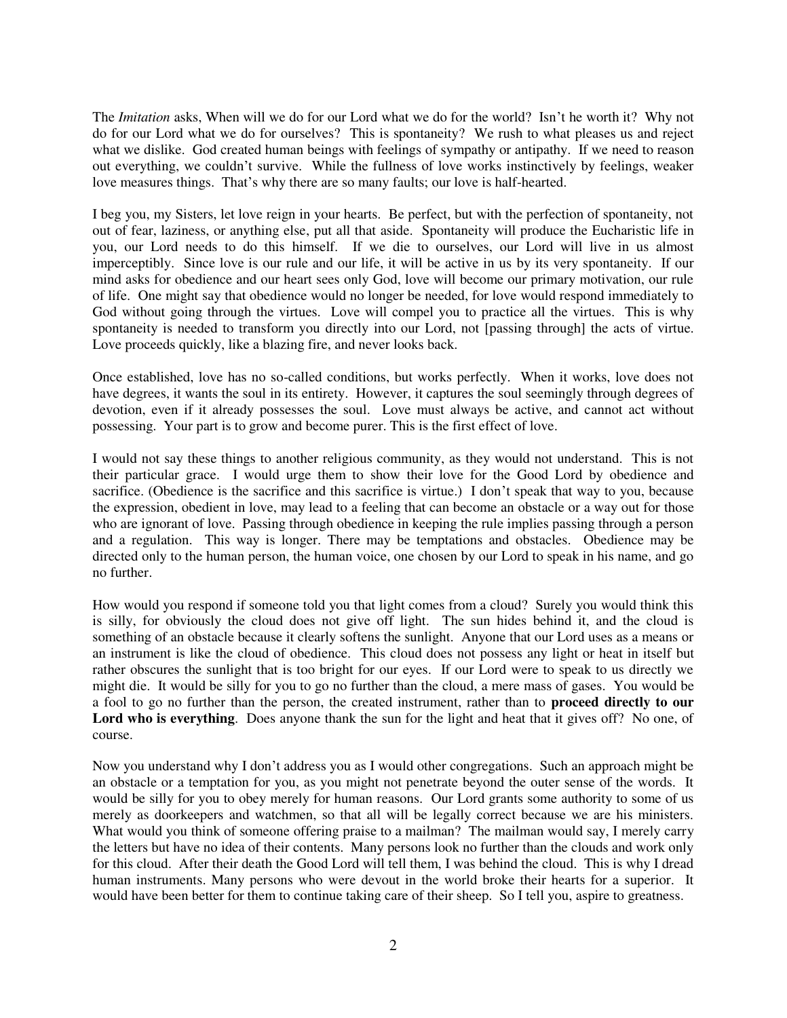The *Imitation* asks, When will we do for our Lord what we do for the world? Isn't he worth it? Why not do for our Lord what we do for ourselves? This is spontaneity? We rush to what pleases us and reject what we dislike. God created human beings with feelings of sympathy or antipathy. If we need to reason out everything, we couldn't survive. While the fullness of love works instinctively by feelings, weaker love measures things. That's why there are so many faults; our love is half-hearted.

I beg you, my Sisters, let love reign in your hearts. Be perfect, but with the perfection of spontaneity, not out of fear, laziness, or anything else, put all that aside. Spontaneity will produce the Eucharistic life in you, our Lord needs to do this himself. If we die to ourselves, our Lord will live in us almost imperceptibly. Since love is our rule and our life, it will be active in us by its very spontaneity. If our mind asks for obedience and our heart sees only God, love will become our primary motivation, our rule of life. One might say that obedience would no longer be needed, for love would respond immediately to God without going through the virtues. Love will compel you to practice all the virtues. This is why spontaneity is needed to transform you directly into our Lord, not [passing through] the acts of virtue. Love proceeds quickly, like a blazing fire, and never looks back.

Once established, love has no so-called conditions, but works perfectly. When it works, love does not have degrees, it wants the soul in its entirety. However, it captures the soul seemingly through degrees of devotion, even if it already possesses the soul. Love must always be active, and cannot act without possessing. Your part is to grow and become purer. This is the first effect of love.

I would not say these things to another religious community, as they would not understand. This is not their particular grace. I would urge them to show their love for the Good Lord by obedience and sacrifice. (Obedience is the sacrifice and this sacrifice is virtue.) I don't speak that way to you, because the expression, obedient in love, may lead to a feeling that can become an obstacle or a way out for those who are ignorant of love. Passing through obedience in keeping the rule implies passing through a person and a regulation. This way is longer. There may be temptations and obstacles. Obedience may be directed only to the human person, the human voice, one chosen by our Lord to speak in his name, and go no further.

How would you respond if someone told you that light comes from a cloud? Surely you would think this is silly, for obviously the cloud does not give off light. The sun hides behind it, and the cloud is something of an obstacle because it clearly softens the sunlight. Anyone that our Lord uses as a means or an instrument is like the cloud of obedience. This cloud does not possess any light or heat in itself but rather obscures the sunlight that is too bright for our eyes. If our Lord were to speak to us directly we might die. It would be silly for you to go no further than the cloud, a mere mass of gases. You would be a fool to go no further than the person, the created instrument, rather than to **proceed directly to our Lord who is everything**. Does anyone thank the sun for the light and heat that it gives off? No one, of course.

Now you understand why I don't address you as I would other congregations. Such an approach might be an obstacle or a temptation for you, as you might not penetrate beyond the outer sense of the words. It would be silly for you to obey merely for human reasons. Our Lord grants some authority to some of us merely as doorkeepers and watchmen, so that all will be legally correct because we are his ministers. What would you think of someone offering praise to a mailman? The mailman would say, I merely carry the letters but have no idea of their contents. Many persons look no further than the clouds and work only for this cloud. After their death the Good Lord will tell them, I was behind the cloud. This is why I dread human instruments. Many persons who were devout in the world broke their hearts for a superior. It would have been better for them to continue taking care of their sheep. So I tell you, aspire to greatness.